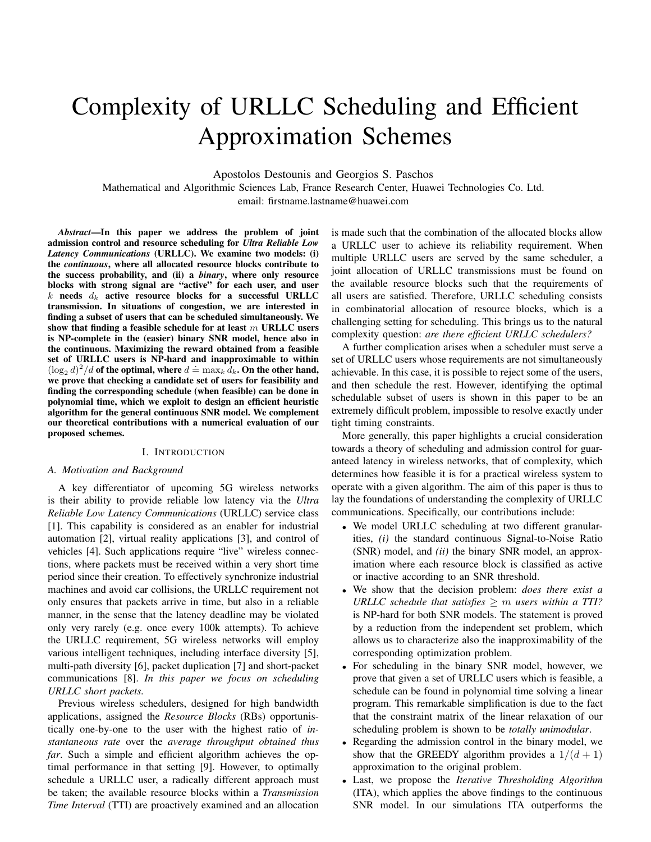# Complexity of URLLC Scheduling and Efficient Approximation Schemes

Apostolos Destounis and Georgios S. Paschos

Mathematical and Algorithmic Sciences Lab, France Research Center, Huawei Technologies Co. Ltd. email: firstname.lastname@huawei.com

*Abstract*—In this paper we address the problem of joint admission control and resource scheduling for *Ultra Reliable Low Latency Communications* (URLLC). We examine two models: (i) the *continuous*, where all allocated resource blocks contribute to the success probability, and (ii) a *binary*, where only resource blocks with strong signal are "active" for each user, and user  $k$  needs  $d_k$  active resource blocks for a successful URLLC transmission. In situations of congestion, we are interested in finding a subset of users that can be scheduled simultaneously. We show that finding a feasible schedule for at least  $m$  URLLC users is NP-complete in the (easier) binary SNR model, hence also in the continuous. Maximizing the reward obtained from a feasible set of URLLC users is NP-hard and inapproximable to within  $(\log_2 d)^2/d$  of the optimal, where  $d = \max_k d_k$ . On the other hand, we prove that checking a candidate set of users for feasibility and finding the corresponding schedule (when feasible) can be done in polynomial time, which we exploit to design an efficient heuristic algorithm for the general continuous SNR model. We complement our theoretical contributions with a numerical evaluation of our proposed schemes.

## I. INTRODUCTION

#### *A. Motivation and Background*

A key differentiator of upcoming 5G wireless networks is their ability to provide reliable low latency via the *Ultra Reliable Low Latency Communications* (URLLC) service class [1]. This capability is considered as an enabler for industrial automation [2], virtual reality applications [3], and control of vehicles [4]. Such applications require "live" wireless connections, where packets must be received within a very short time period since their creation. To effectively synchronize industrial machines and avoid car collisions, the URLLC requirement not only ensures that packets arrive in time, but also in a reliable manner, in the sense that the latency deadline may be violated only very rarely (e.g. once every 100k attempts). To achieve the URLLC requirement, 5G wireless networks will employ various intelligent techniques, including interface diversity [5], multi-path diversity [6], packet duplication [7] and short-packet communications [8]. *In this paper we focus on scheduling URLLC short packets.*

Previous wireless schedulers, designed for high bandwidth applications, assigned the *Resource Blocks* (RBs) opportunistically one-by-one to the user with the highest ratio of *instantaneous rate* over the *average throughput obtained thus far*. Such a simple and efficient algorithm achieves the optimal performance in that setting [9]. However, to optimally schedule a URLLC user, a radically different approach must be taken; the available resource blocks within a *Transmission Time Interval* (TTI) are proactively examined and an allocation is made such that the combination of the allocated blocks allow a URLLC user to achieve its reliability requirement. When multiple URLLC users are served by the same scheduler, a joint allocation of URLLC transmissions must be found on the available resource blocks such that the requirements of all users are satisfied. Therefore, URLLC scheduling consists in combinatorial allocation of resource blocks, which is a challenging setting for scheduling. This brings us to the natural complexity question: *are there efficient URLLC schedulers?*

A further complication arises when a scheduler must serve a set of URLLC users whose requirements are not simultaneously achievable. In this case, it is possible to reject some of the users, and then schedule the rest. However, identifying the optimal schedulable subset of users is shown in this paper to be an extremely difficult problem, impossible to resolve exactly under tight timing constraints.

More generally, this paper highlights a crucial consideration towards a theory of scheduling and admission control for guaranteed latency in wireless networks, that of complexity, which determines how feasible it is for a practical wireless system to operate with a given algorithm. The aim of this paper is thus to lay the foundations of understanding the complexity of URLLC communications. Specifically, our contributions include:

- We model URLLC scheduling at two different granularities, *(i)* the standard continuous Signal-to-Noise Ratio (SNR) model, and *(ii)* the binary SNR model, an approximation where each resource block is classified as active or inactive according to an SNR threshold.
- We show that the decision problem: *does there exist a URLLC schedule that satisfies*  $\geq m$  *users within a TTI?* is NP-hard for both SNR models. The statement is proved by a reduction from the independent set problem, which allows us to characterize also the inapproximability of the corresponding optimization problem.
- For scheduling in the binary SNR model, however, we prove that given a set of URLLC users which is feasible, a schedule can be found in polynomial time solving a linear program. This remarkable simplification is due to the fact that the constraint matrix of the linear relaxation of our scheduling problem is shown to be *totally unimodular*.
- Regarding the admission control in the binary model, we show that the GREEDY algorithm provides a  $1/(d+1)$ approximation to the original problem.
- Last, we propose the *Iterative Thresholding Algorithm* (ITA), which applies the above findings to the continuous SNR model. In our simulations ITA outperforms the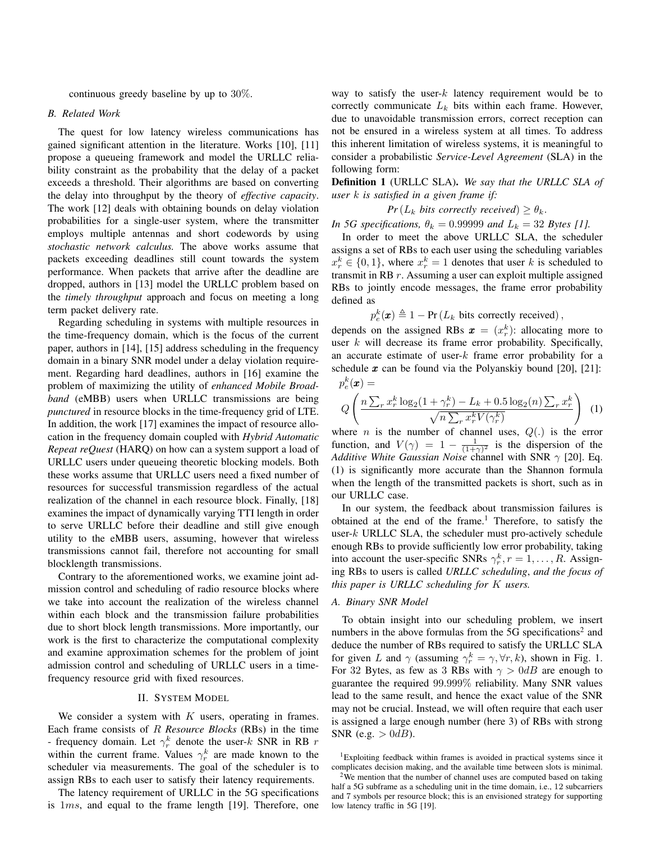continuous greedy baseline by up to 30%.

## *B. Related Work*

The quest for low latency wireless communications has gained significant attention in the literature. Works [10], [11] propose a queueing framework and model the URLLC reliability constraint as the probability that the delay of a packet exceeds a threshold. Their algorithms are based on converting the delay into throughput by the theory of *effective capacity*. The work [12] deals with obtaining bounds on delay violation probabilities for a single-user system, where the transmitter employs multiple antennas and short codewords by using *stochastic network calculus.* The above works assume that packets exceeding deadlines still count towards the system performance. When packets that arrive after the deadline are dropped, authors in [13] model the URLLC problem based on the *timely throughput* approach and focus on meeting a long term packet delivery rate.

Regarding scheduling in systems with multiple resources in the time-frequency domain, which is the focus of the current paper, authors in [14], [15] address scheduling in the frequency domain in a binary SNR model under a delay violation requirement. Regarding hard deadlines, authors in [16] examine the problem of maximizing the utility of *enhanced Mobile Broadband* (eMBB) users when URLLC transmissions are being *punctured* in resource blocks in the time-frequency grid of LTE. In addition, the work [17] examines the impact of resource allocation in the frequency domain coupled with *Hybrid Automatic Repeat reQuest* (HARQ) on how can a system support a load of URLLC users under queueing theoretic blocking models. Both these works assume that URLLC users need a fixed number of resources for successful transmission regardless of the actual realization of the channel in each resource block. Finally, [18] examines the impact of dynamically varying TTI length in order to serve URLLC before their deadline and still give enough utility to the eMBB users, assuming, however that wireless transmissions cannot fail, therefore not accounting for small blocklength transmissions.

Contrary to the aforementioned works, we examine joint admission control and scheduling of radio resource blocks where we take into account the realization of the wireless channel within each block and the transmission failure probabilities due to short block length transmissions. More importantly, our work is the first to characterize the computational complexity and examine approximation schemes for the problem of joint admission control and scheduling of URLLC users in a timefrequency resource grid with fixed resources.

## II. SYSTEM MODEL

We consider a system with  $K$  users, operating in frames. Each frame consists of R *Resource Blocks* (RBs) in the time - frequency domain. Let  $\gamma_r^k$  denote the user-k SNR in RB r within the current frame. Values  $\gamma_r^k$  are made known to the scheduler via measurements. The goal of the scheduler is to assign RBs to each user to satisfy their latency requirements.

The latency requirement of URLLC in the 5G specifications is  $1ms$ , and equal to the frame length  $[19]$ . Therefore, one

way to satisfy the user- $k$  latency requirement would be to correctly communicate  $L_k$  bits within each frame. However, due to unavoidable transmission errors, correct reception can not be ensured in a wireless system at all times. To address this inherent limitation of wireless systems, it is meaningful to consider a probabilistic *Service-Level Agreement* (SLA) in the following form:

Definition 1 (URLLC SLA). *We say that the URLLC SLA of user* k *is satisfied in a given frame if:*

$$
Pr(L_k \text{ bits correctly received}) \geq \theta_k.
$$

*In 5G specifications,*  $\theta_k = 0.99999$  *and*  $L_k = 32$  *Bytes [1].* 

In order to meet the above URLLC SLA, the scheduler assigns a set of RBs to each user using the scheduling variables  $x_r^k \in \{0, 1\}$ , where  $x_r^k = 1$  denotes that user k is scheduled to transmit in RB  $r$ . Assuming a user can exploit multiple assigned RBs to jointly encode messages, the frame error probability defined as

 $p_e^k(\boldsymbol{x}) \triangleq 1 - \text{Pr}(L_k \text{ bits correctly received}),$ 

depends on the assigned RBs  $\boldsymbol{x} = (x_r^k)$ : allocating more to user  $k$  will decrease its frame error probability. Specifically, an accurate estimate of user- $k$  frame error probability for a schedule  $x$  can be found via the Polyanskiy bound [20], [21]:  $p_e^k(\pmb x) =$ 

$$
Q\left(\frac{n\sum_{r} x_r^k \log_2(1+\gamma_r^k) - L_k + 0.5 \log_2(n) \sum_{r} x_r^k}{\sqrt{n\sum_{r} x_r^k V(\gamma_r^k)}}\right) (1)
$$

where *n* is the number of channel uses,  $Q(.)$  is the error function, and  $V(\gamma) = 1 - \frac{1}{(1+\gamma)^2}$  is the dispersion of the *Additive White Gaussian Noise* channel with SNR γ [20]. Eq. (1) is significantly more accurate than the Shannon formula when the length of the transmitted packets is short, such as in our URLLC case.

In our system, the feedback about transmission failures is obtained at the end of the frame.<sup>1</sup> Therefore, to satisfy the user- $k$  URLLC SLA, the scheduler must pro-actively schedule enough RBs to provide sufficiently low error probability, taking into account the user-specific SNRs  $\gamma_r^k$ ,  $r = 1, ..., R$ . Assigning RBs to users is called *URLLC scheduling*, *and the focus of this paper is URLLC scheduling for* K *users.*

#### *A. Binary SNR Model*

To obtain insight into our scheduling problem, we insert numbers in the above formulas from the  $5G$  specifications<sup>2</sup> and deduce the number of RBs required to satisfy the URLLC SLA for given L and  $\gamma$  (assuming  $\gamma_r^k = \gamma, \forall r, k$ ), shown in Fig. 1. For 32 Bytes, as few as 3 RBs with  $\gamma > 0$ dB are enough to guarantee the required 99.999% reliability. Many SNR values lead to the same result, and hence the exact value of the SNR may not be crucial. Instead, we will often require that each user is assigned a large enough number (here 3) of RBs with strong SNR (e.g.  $> 0dB$ ).

<sup>1</sup>Exploiting feedback within frames is avoided in practical systems since it complicates decision making, and the available time between slots is minimal.

<sup>2</sup>We mention that the number of channel uses are computed based on taking half a 5G subframe as a scheduling unit in the time domain, i.e., 12 subcarriers and 7 symbols per resource block; this is an envisioned strategy for supporting low latency traffic in 5G [19].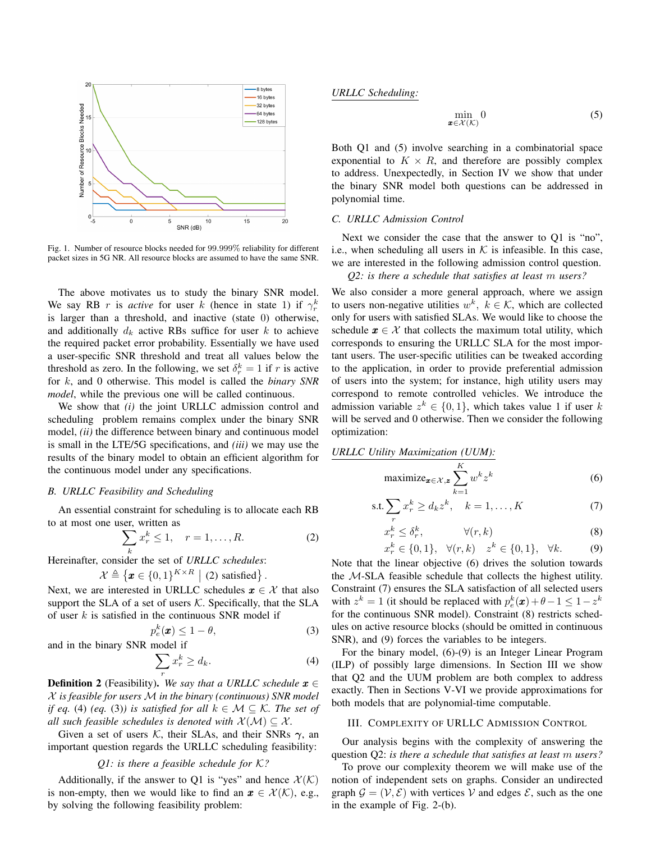

Fig. 1. Number of resource blocks needed for 99.999% reliability for different packet sizes in 5G NR. All resource blocks are assumed to have the same SNR.

The above motivates us to study the binary SNR model. We say RB r is *active* for user k (hence in state 1) if  $\gamma_r^k$ is larger than a threshold, and inactive (state 0) otherwise, and additionally  $d_k$  active RBs suffice for user k to achieve the required packet error probability. Essentially we have used a user-specific SNR threshold and treat all values below the threshold as zero. In the following, we set  $\delta_r^k = 1$  if r is active for k, and 0 otherwise. This model is called the *binary SNR model*, while the previous one will be called continuous.

We show that *(i)* the joint URLLC admission control and scheduling problem remains complex under the binary SNR model, *(ii)* the difference between binary and continuous model is small in the LTE/5G specifications, and *(iii)* we may use the results of the binary model to obtain an efficient algorithm for the continuous model under any specifications.

## *B. URLLC Feasibility and Scheduling*

An essential constraint for scheduling is to allocate each RB to at most one user, written as

$$
\sum_{k} x_{r}^{k} \leq 1, \quad r = 1, \dots, R. \tag{2}
$$

Hereinafter, consider the set of *URLLC schedules*:

$$
\mathcal{X} \triangleq \left\{ \boldsymbol{x} \in \{0,1\}^{K \times R} \mid (2) \text{ satisfied} \right\}.
$$

Next, we are interested in URLLC schedules  $x \in \mathcal{X}$  that also support the SLA of a set of users  $K$ . Specifically, that the SLA of user  $k$  is satisfied in the continuous SNR model if

$$
p_e^k(\pmb{x}) \le 1 - \theta,\tag{3}
$$

and in the binary SNR model if 
$$
\sum x_r^k \ge d_k.
$$
 (4)

**Definition 2** (Feasibility). *We say that a URLLC schedule*  $\boldsymbol{x}$  ∈ X *is feasible for users* M *in the binary (continuous) SNR model if eq.* (4) *(eq.* (3)*) is satisfied for all*  $k \in M \subseteq K$ *. The set of all such feasible schedules is denoted with*  $X(M) \subseteq \mathcal{X}$ *.* 

Given a set of users K, their SLAs, and their SNRs  $\gamma$ , and important question regards the URLLC scheduling feasibility:

## *Q1: is there a feasible schedule for* K*?*

Additionally, if the answer to O1 is "yes" and hence  $\mathcal{X}(\mathcal{K})$ is non-empty, then we would like to find an  $x \in \mathcal{X}(\mathcal{K})$ , e.g., by solving the following feasibility problem:

*URLLC Scheduling:*

$$
\min_{\pmb{x}\in\mathcal{X}(\mathcal{K})}0\tag{5}
$$

Both Q1 and (5) involve searching in a combinatorial space exponential to  $K \times R$ , and therefore are possibly complex to address. Unexpectedly, in Section IV we show that under the binary SNR model both questions can be addressed in polynomial time.

## *C. URLLC Admission Control*

Next we consider the case that the answer to Q1 is "no", i.e., when scheduling all users in  $K$  is infeasible. In this case, we are interested in the following admission control question.

## *Q2: is there a schedule that satisfies at least* m *users?*

We also consider a more general approach, where we assign to users non-negative utilities  $w^k$ ,  $k \in \mathcal{K}$ , which are collected only for users with satisfied SLAs. We would like to choose the schedule  $x \in \mathcal{X}$  that collects the maximum total utility, which corresponds to ensuring the URLLC SLA for the most important users. The user-specific utilities can be tweaked according to the application, in order to provide preferential admission of users into the system; for instance, high utility users may correspond to remote controlled vehicles. We introduce the admission variable  $z^k \in \{0, 1\}$ , which takes value 1 if user k will be served and 0 otherwise. Then we consider the following optimization:

URLLC Utility Maximization (UUM):  
\n
$$
\frac{K}{\maximize_{\boldsymbol{x} \in \mathcal{X}, \boldsymbol{z}}}\sum_{k=1}^{K} w^{k} z^{k}
$$
\n(6)

$$
\text{s.t.} \sum_{r} x_r^k \ge d_k z^k, \quad k = 1, \dots, K \tag{7}
$$

$$
x_r^k \le \delta_r^k, \qquad \forall (r,k) \tag{8}
$$

$$
x_r^k \in \{0, 1\}, \quad \forall (r, k) \quad z^k \in \{0, 1\}, \quad \forall k. \tag{9}
$$

Note that the linear objective (6) drives the solution towards the M-SLA feasible schedule that collects the highest utility. Constraint (7) ensures the SLA satisfaction of all selected users with  $z^k = 1$  (it should be replaced with  $p_e^k(\mathbf{x}) + \theta - 1 \leq 1 - z^k$ for the continuous SNR model). Constraint (8) restricts schedules on active resource blocks (should be omitted in continuous SNR), and (9) forces the variables to be integers.

For the binary model, (6)-(9) is an Integer Linear Program (ILP) of possibly large dimensions. In Section III we show that Q2 and the UUM problem are both complex to address exactly. Then in Sections V-VI we provide approximations for both models that are polynomial-time computable.

## III. COMPLEXITY OF URLLC ADMISSION CONTROL

Our analysis begins with the complexity of answering the question Q2: *is there a schedule that satisfies at least* m *users?*

To prove our complexity theorem we will make use of the notion of independent sets on graphs. Consider an undirected graph  $\mathcal{G} = (\mathcal{V}, \mathcal{E})$  with vertices V and edges  $\mathcal{E}$ , such as the one in the example of Fig. 2-(b).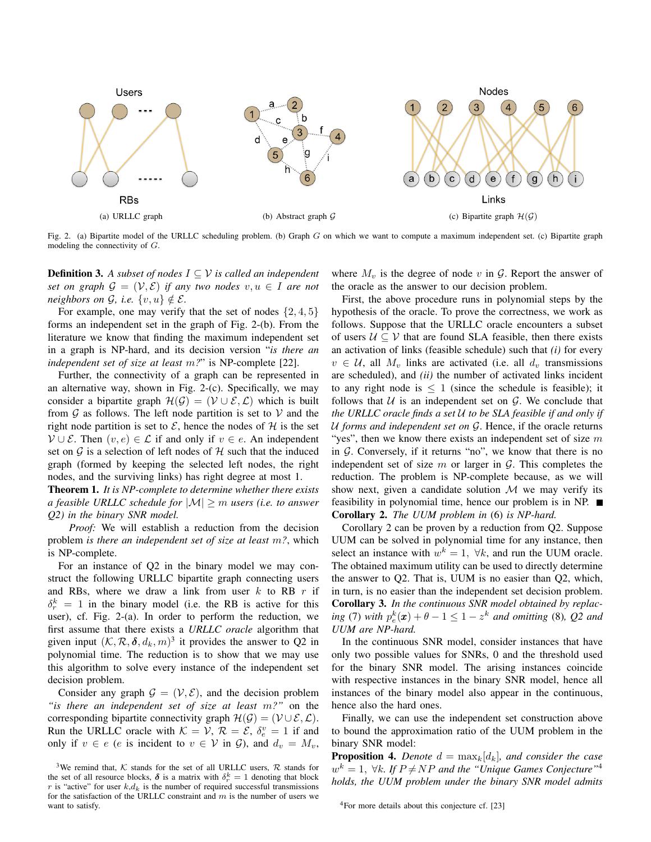

Fig. 2. (a) Bipartite model of the URLLC scheduling problem. (b) Graph G on which we want to compute a maximum independent set. (c) Bipartite graph modeling the connectivity of G.

**Definition 3.** *A subset of nodes*  $I \subseteq V$  *is called an independent set on graph*  $\mathcal{G} = (\mathcal{V}, \mathcal{E})$  *if any two nodes*  $v, u \in I$  *are not neighbors on*  $\mathcal{G}$ *, i.e.*  $\{v, u\} \notin \mathcal{E}$ *.* 

For example, one may verify that the set of nodes  $\{2, 4, 5\}$ forms an independent set in the graph of Fig. 2-(b). From the literature we know that finding the maximum independent set in a graph is NP-hard, and its decision version "*is there an independent set of size at least* m*?*" is NP-complete [22].

Further, the connectivity of a graph can be represented in an alternative way, shown in Fig. 2-(c). Specifically, we may consider a bipartite graph  $\mathcal{H}(\mathcal{G}) = (\mathcal{V} \cup \mathcal{E}, \mathcal{L})$  which is built from  $G$  as follows. The left node partition is set to  $V$  and the right node partition is set to  $\mathcal{E}$ , hence the nodes of  $\mathcal{H}$  is the set  $V \cup \mathcal{E}$ . Then  $(v, e) \in \mathcal{L}$  if and only if  $v \in e$ . An independent set on  $\mathcal G$  is a selection of left nodes of  $\mathcal H$  such that the induced graph (formed by keeping the selected left nodes, the right nodes, and the surviving links) has right degree at most 1.

Theorem 1. *It is NP-complete to determine whether there exists a feasible URLLC schedule for*  $|M| \ge m$  *users (i.e. to answer Q2) in the binary SNR model.*

*Proof:* We will establish a reduction from the decision problem *is there an independent set of size at least* m*?*, which is NP-complete.

For an instance of Q2 in the binary model we may construct the following URLLC bipartite graph connecting users and RBs, where we draw a link from user  $k$  to RB  $r$  if  $\delta_r^k = 1$  in the binary model (i.e. the RB is active for this user), cf. Fig. 2-(a). In order to perform the reduction, we first assume that there exists a *URLLC oracle* algorithm that given input  $(K, \mathcal{R}, \delta, d_k, m)^3$  it provides the answer to Q2 in polynomial time. The reduction is to show that we may use this algorithm to solve every instance of the independent set decision problem.

Consider any graph  $\mathcal{G} = (\mathcal{V}, \mathcal{E})$ , and the decision problem *"is there an independent set of size at least* m*?"* on the corresponding bipartite connectivity graph  $\mathcal{H}(\mathcal{G}) = (\mathcal{V} \cup \mathcal{E}, \mathcal{L})$ . Run the URLLC oracle with  $K = V$ ,  $\mathcal{R} = \mathcal{E}$ ,  $\delta_e^v = 1$  if and only if  $v \in e$  (e is incident to  $v \in V$  in  $\mathcal{G}$ ), and  $d_v = M_v$ , where  $M_v$  is the degree of node v in G. Report the answer of the oracle as the answer to our decision problem.

First, the above procedure runs in polynomial steps by the hypothesis of the oracle. To prove the correctness, we work as follows. Suppose that the URLLC oracle encounters a subset of users  $U \subseteq V$  that are found SLA feasible, then there exists an activation of links (feasible schedule) such that *(i)* for every  $v \in U$ , all  $M_v$  links are activated (i.e. all  $d_v$  transmissions are scheduled), and *(ii)* the number of activated links incident to any right node is  $\leq 1$  (since the schedule is feasible); it follows that  $U$  is an independent set on  $G$ . We conclude that *the URLLC oracle finds a set* U *to be SLA feasible if and only if* U *forms and independent set on* G. Hence, if the oracle returns "yes", then we know there exists an independent set of size  $m$ in  $G$ . Conversely, if it returns "no", we know that there is no independent set of size  $m$  or larger in  $G$ . This completes the reduction. The problem is NP-complete because, as we will show next, given a candidate solution  $M$  we may verify its feasibility in polynomial time, hence our problem is in NP. Corollary 2. *The UUM problem in* (6) *is NP-hard.*

Corollary 2 can be proven by a reduction from Q2. Suppose UUM can be solved in polynomial time for any instance, then select an instance with  $w^k = 1$ ,  $\forall k$ , and run the UUM oracle. The obtained maximum utility can be used to directly determine the answer to Q2. That is, UUM is no easier than Q2, which, in turn, is no easier than the independent set decision problem. Corollary 3. *In the continuous SNR model obtained by replacing* (7) *with*  $p_e^k(\mathbf{x}) + \theta - 1 \leq 1 - z^k$  *and omitting* (8)*,* Q2 *and UUM are NP-hard.*

In the continuous SNR model, consider instances that have only two possible values for SNRs, 0 and the threshold used for the binary SNR model. The arising instances coincide with respective instances in the binary SNR model, hence all instances of the binary model also appear in the continuous, hence also the hard ones.

Finally, we can use the independent set construction above to bound the approximation ratio of the UUM problem in the binary SNR model:

**Proposition 4.** Denote  $d = \max_k [d_k]$ , and consider the case  $w^k = 1$ ,  $\forall k$ *. If*  $P \neq NP$  and the "Unique Games Conjecture"<sup>4</sup> *holds, the UUM problem under the binary SNR model admits*

<sup>&</sup>lt;sup>3</sup>We remind that,  $K$  stands for the set of all URLLC users,  $R$  stands for the set of all resource blocks,  $\delta$  is a matrix with  $\delta_r^k = 1$  denoting that block r is "active" for user  $k, d_k$  is the number of required successful transmissions for the satisfaction of the URLLC constraint and  $m$  is the number of users we want to satisfy.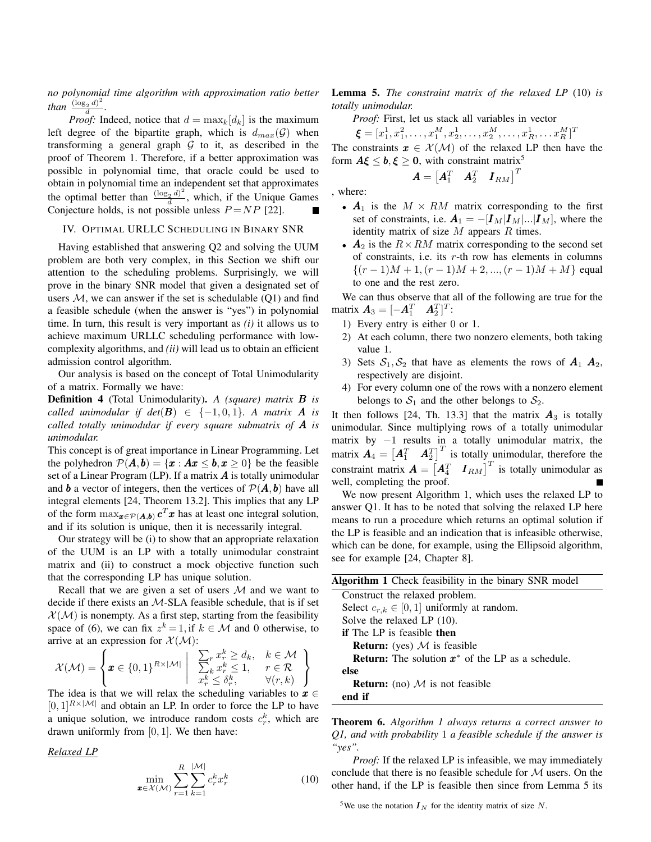*no polynomial time algorithm with approximation ratio better than*  $\frac{(\log_2 d)^2}{d}$  $rac{a}{d}$ .

*Proof:* Indeed, notice that  $d = \max_k |d_k|$  is the maximum left degree of the bipartite graph, which is  $d_{max}(\mathcal{G})$  when transforming a general graph  $G$  to it, as described in the proof of Theorem 1. Therefore, if a better approximation was possible in polynomial time, that oracle could be used to obtain in polynomial time an independent set that approximates the optimal better than  $\frac{(\log_2 d)^2}{d}$  $\frac{d^2 a}{d}$ , which, if the Unique Games Conjecture holds, is not possible unless  $P = NP$  [22].

## IV. OPTIMAL URLLC SCHEDULING IN BINARY SNR

Having established that answering Q2 and solving the UUM problem are both very complex, in this Section we shift our attention to the scheduling problems. Surprisingly, we will prove in the binary SNR model that given a designated set of users  $M$ , we can answer if the set is schedulable (Q1) and find a feasible schedule (when the answer is "yes") in polynomial time. In turn, this result is very important as *(i)* it allows us to achieve maximum URLLC scheduling performance with lowcomplexity algorithms, and *(ii)* will lead us to obtain an efficient admission control algorithm.

Our analysis is based on the concept of Total Unimodularity of a matrix. Formally we have:

Definition 4 (Total Unimodularity). *A (square) matrix* B *is called unimodular if det* $(B) \in \{-1,0,1\}$ *. A matrix* **A** *is called totally unimodular if every square submatrix of* A *is unimodular.*

This concept is of great importance in Linear Programming. Let the polyhedron  $\mathcal{P}(A, b) = \{x : Ax \leq b, x \geq 0\}$  be the feasible set of a Linear Program (LP). If a matrix  $\vec{A}$  is totally unimodular and **b** a vector of integers, then the vertices of  $\mathcal{P}(A, b)$  have all integral elements [24, Theorem 13.2]. This implies that any LP of the form  $\max_{\boldsymbol{x} \in \mathcal{P}(\boldsymbol{A}, \boldsymbol{b})} \boldsymbol{c}^T \boldsymbol{x}$  has at least one integral solution, and if its solution is unique, then it is necessarily integral.

Our strategy will be (i) to show that an appropriate relaxation of the UUM is an LP with a totally unimodular constraint matrix and (ii) to construct a mock objective function such that the corresponding LP has unique solution.

Recall that we are given a set of users  $M$  and we want to decide if there exists an  $M$ -SLA feasible schedule, that is if set  $\mathcal{X}(\mathcal{M})$  is nonempty. As a first step, starting from the feasibility space of (6), we can fix  $z^k = 1$ , if  $k \in \mathcal{M}$  and 0 otherwise, to arrive at an expression for  $\mathcal{X}(\mathcal{M})$ :

$$
\mathcal{X}(\mathcal{M}) = \left\{ \boldsymbol{x} \in \{0,1\}^{R \times |\mathcal{M}|} \; \left| \begin{array}{cc} \sum_{r} x_r^k \geq d_k, & k \in \mathcal{M} \\ \sum_{k} x_r^k \leq 1, & r \in \mathcal{R} \\ x_r^k \leq \delta_r^k, & \forall (r,k) \end{array} \right. \right\}
$$

The idea is that we will relax the scheduling variables to  $x \in$  $[0, 1]^{R \times |\mathcal{M}|}$  and obtain an LP. In order to force the LP to have a unique solution, we introduce random costs  $c_r^k$ , which are drawn uniformly from  $[0, 1]$ . We then have:

*Relaxed LP*

$$
\min_{\boldsymbol{x} \in \mathcal{X}(\mathcal{M})} \sum_{r=1}^{R} \sum_{k=1}^{|\mathcal{M}|} c_r^k x_r^k
$$
\n(10)

Lemma 5. *The constraint matrix of the relaxed LP* (10) *is totally unimodular.*

*Proof:* First, let us stack all variables in vector

$$
\boldsymbol{\xi} = [x_1^1, x_1^2, \dots, x_1^M, x_2^1, \dots, x_2^M, \dots, x_R^1, \dots, x_R^M]^T
$$

The constraints  $x \in \mathcal{X}(\mathcal{M})$  of the relaxed LP then have the form  $A\xi \leq b, \xi \geq 0$ , with constraint matrix<sup>5</sup>

 $\boldsymbol{A} = \begin{bmatrix} \boldsymbol{A}_1^T & \boldsymbol{A}_2^T & \boldsymbol{I}_{RM} \end{bmatrix}^T$ 

, where:

- $A_1$  is the  $M \times RM$  matrix corresponding to the first set of constraints, i.e.  $A_1 = -[I_M|I_M|...|I_M]$ , where the identity matrix of size  $M$  appears  $R$  times.
- $A_2$  is the  $R \times RM$  matrix corresponding to the second set of constraints, i.e. its  $r$ -th row has elements in columns  $\{(r-1)M + 1, (r-1)M + 2, ..., (r-1)M + M\}$  equal to one and the rest zero.

We can thus observe that all of the following are true for the matrix  $A_3 = \begin{bmatrix} -A_1^T & A_2^T \end{bmatrix}^T$ :

- 1) Every entry is either 0 or 1.
- 2) At each column, there two nonzero elements, both taking value 1.
- 3) Sets  $S_1, S_2$  that have as elements the rows of  $A_1$   $A_2$ , respectively are disjoint.
- 4) For every column one of the rows with a nonzero element belongs to  $S_1$  and the other belongs to  $S_2$ .

It then follows [24, Th. 13.3] that the matrix  $A_3$  is totally unimodular. Since multiplying rows of a totally unimodular matrix by  $-1$  results in a totally unimodular matrix, the matrix  $\mathbf{A}_4 = \begin{bmatrix} \mathbf{A}_1^T & \mathbf{A}_2^T \end{bmatrix}^T$  is totally unimodular, therefore the constraint matrix  $\boldsymbol{A} = \begin{bmatrix} \boldsymbol{A}_4^T & \boldsymbol{I}_{RM} \end{bmatrix}^T$  is totally unimodular as well, completing the proof.

We now present Algorithm 1, which uses the relaxed LP to answer Q1. It has to be noted that solving the relaxed LP here means to run a procedure which returns an optimal solution if the LP is feasible and an indication that is infeasible otherwise, which can be done, for example, using the Ellipsoid algorithm, see for example [24, Chapter 8].

| Algorithm 1 Check feasibility in the binary SNR model      |
|------------------------------------------------------------|
| Construct the relaxed problem.                             |
| Select $c_{r,k} \in [0,1]$ uniformly at random.            |
| Solve the relaxed LP (10).                                 |
| <b>if</b> The LP is feasible <b>then</b>                   |
| <b>Return:</b> (yes) $M$ is feasible                       |
| <b>Return:</b> The solution $x^*$ of the LP as a schedule. |
| else                                                       |
| <b>Return:</b> (no) $M$ is not feasible                    |
| end if                                                     |
|                                                            |

Theorem 6. *Algorithm 1 always returns a correct answer to Q1, and with probability* 1 *a feasible schedule if the answer is "yes".*

*Proof:* If the relaxed LP is infeasible, we may immediately conclude that there is no feasible schedule for  $M$  users. On the other hand, if the LP is feasible then since from Lemma 5 its

<sup>5</sup>We use the notation  $I<sub>N</sub>$  for the identity matrix of size N.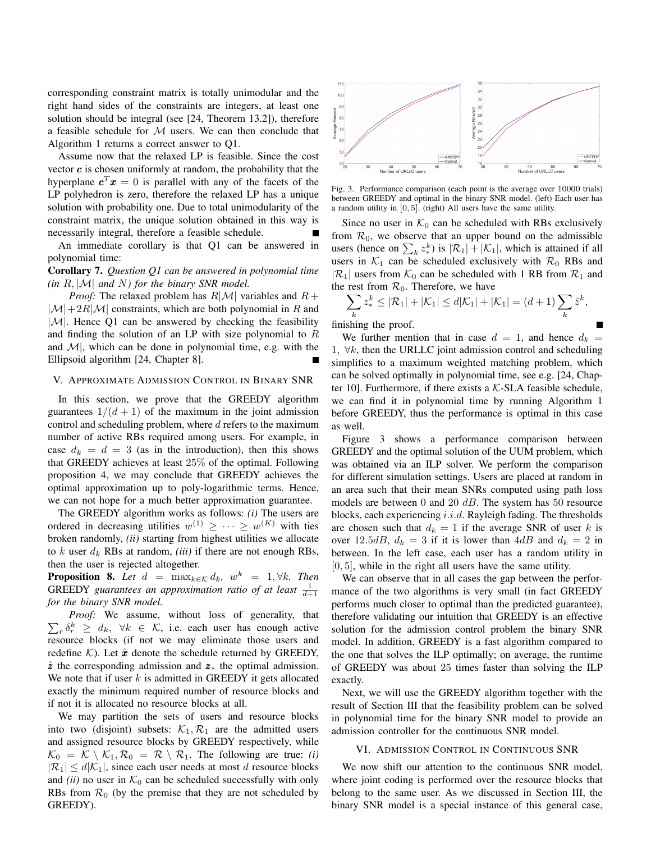corresponding constraint matrix is totally unimodular and the right hand sides of the constraints are integers, at least one solution should be integral (see [24, Theorem 13.2]), therefore a feasible schedule for  $M$  users. We can then conclude that Algorithm 1 returns a correct answer to Q1.

Assume now that the relaxed LP is feasible. Since the cost vector  $c$  is chosen uniformly at random, the probability that the hyperplane  $c^T x = 0$  is parallel with any of the facets of the LP polyhedron is zero, therefore the relaxed LP has a unique solution with probability one. Due to total unimodularity of the constraint matrix, the unique solution obtained in this way is necessarily integral, therefore a feasible schedule.

An immediate corollary is that Q1 can be answered in polynomial time:

## Corollary 7. *Question Q1 can be answered in polynomial time (in* R, |M| *and* N*) for the binary SNR model.*

*Proof:* The relaxed problem has  $R|\mathcal{M}|$  variables and  $R+$  $|\mathcal{M}| + 2R|\mathcal{M}|$  constraints, which are both polynomial in R and  $|\mathcal{M}|$ . Hence Q1 can be answered by checking the feasibility and finding the solution of an LP with size polynomial to  $R$ and  $\mathcal{M}$ , which can be done in polynomial time, e.g. with the Ellipsoid algorithm [24, Chapter 8].

## V. APPROXIMATE ADMISSION CONTROL IN BINARY SNR

In this section, we prove that the GREEDY algorithm guarantees  $1/(d+1)$  of the maximum in the joint admission control and scheduling problem, where  $d$  refers to the maximum number of active RBs required among users. For example, in case  $d_k = d = 3$  (as in the introduction), then this shows that GREEDY achieves at least 25% of the optimal. Following proposition 4, we may conclude that GREEDY achieves the optimal approximation up to poly-logarithmic terms. Hence, we can not hope for a much better approximation guarantee.

The GREEDY algorithm works as follows: *(i)* The users are ordered in decreasing utilities  $w^{(1)} \geq \cdots \geq w^{(K)}$  with ties broken randomly, *(ii)* starting from highest utilities we allocate to k user  $d_k$  RBs at random, *(iii)* if there are not enough RBs, then the user is rejected altogether.

**Proposition 8.** Let  $d = \max_{k \in \mathcal{K}} d_k$ ,  $w^k = 1, \forall k$ . Then GREEDY guarantees an approximation ratio of at least  $\frac{1}{d+1}$ *for the binary SNR model.*

 $\sum_{r} \delta_r^k \geq d_k$ ,  $\forall k \in \mathcal{K}$ , i.e. each user has enough active Proof: We assume, without loss of generality, that resource blocks (if not we may eliminate those users and redefine K). Let  $\hat{x}$  denote the schedule returned by GREEDY,  $\hat{z}$  the corresponding admission and  $z_*$  the optimal admission. We note that if user  $k$  is admitted in GREEDY it gets allocated exactly the minimum required number of resource blocks and if not it is allocated no resource blocks at all.

We may partition the sets of users and resource blocks into two (disjoint) subsets:  $\mathcal{K}_1, \mathcal{R}_1$  are the admitted users and assigned resource blocks by GREEDY respectively, while  $\mathcal{K}_0 = \mathcal{K} \setminus \mathcal{K}_1, \mathcal{R}_0 = \mathcal{R} \setminus \mathcal{R}_1$ . The following are true: *(i)*  $|\mathcal{R}_1| \le d|\mathcal{K}_1|$ , since each user needs at most d resource blocks and *(ii)* no user in  $\mathcal{K}_0$  can be scheduled successfully with only RBs from  $\mathcal{R}_0$  (by the premise that they are not scheduled by GREEDY).



Fig. 3. Performance comparison (each point is the average over 10000 trials) between GREEDY and optimal in the binary SNR model. (left) Each user has a random utility in [0, 5]. (right) All users have the same utility.

Since no user in  $\mathcal{K}_0$  can be scheduled with RBs exclusively from  $\mathcal{R}_0$ , we observe that an upper bound on the admissible users (hence on  $\sum_k z_*^k$ ) is  $|\mathcal{R}_1| + |\mathcal{K}_1|$ , which is attained if all users in  $K_1$  can be scheduled exclusively with  $\mathcal{R}_0$  RBs and  $|\mathcal{R}_1|$  users from  $\mathcal{K}_0$  can be scheduled with 1 RB from  $\mathcal{R}_1$  and the rest from  $\mathcal{R}_0$ . Therefore, we have

$$
\sum_{k} z_{*}^{k} \leq |\mathcal{R}_{1}| + |\mathcal{K}_{1}| \leq d|\mathcal{K}_{1}| + |\mathcal{K}_{1}| = (d+1) \sum_{k} \hat{z}^{k},
$$

finishing the proof.

We further mention that in case  $d = 1$ , and hence  $d_k =$ 1,  $\forall k$ , then the URLLC joint admission control and scheduling simplifies to a maximum weighted matching problem, which can be solved optimally in polynomial time, see e.g. [24, Chapter 10]. Furthermore, if there exists a  $K$ -SLA feasible schedule, we can find it in polynomial time by running Algorithm 1 before GREEDY, thus the performance is optimal in this case as well.

Figure 3 shows a performance comparison between GREEDY and the optimal solution of the UUM problem, which was obtained via an ILP solver. We perform the comparison for different simulation settings. Users are placed at random in an area such that their mean SNRs computed using path loss models are between 0 and 20  $dB$ . The system has 50 resource blocks, each experiencing  $i.i.d.$  Rayleigh fading. The thresholds are chosen such that  $d_k = 1$  if the average SNR of user k is over 12.5dB,  $d_k = 3$  if it is lower than 4dB and  $d_k = 2$  in between. In the left case, each user has a random utility in [0, 5], while in the right all users have the same utility.

We can observe that in all cases the gap between the performance of the two algorithms is very small (in fact GREEDY performs much closer to optimal than the predicted guarantee), therefore validating our intuition that GREEDY is an effective solution for the admission control problem the binary SNR model. In addition, GREEDY is a fast algorithm compared to the one that solves the ILP optimally; on average, the runtime of GREEDY was about 25 times faster than solving the ILP exactly.

Next, we will use the GREEDY algorithm together with the result of Section III that the feasibility problem can be solved in polynomial time for the binary SNR model to provide an admission controller for the continuous SNR model.

## VI. ADMISSION CONTROL IN CONTINUOUS SNR

We now shift our attention to the continuous SNR model, where joint coding is performed over the resource blocks that belong to the same user. As we discussed in Section III, the binary SNR model is a special instance of this general case,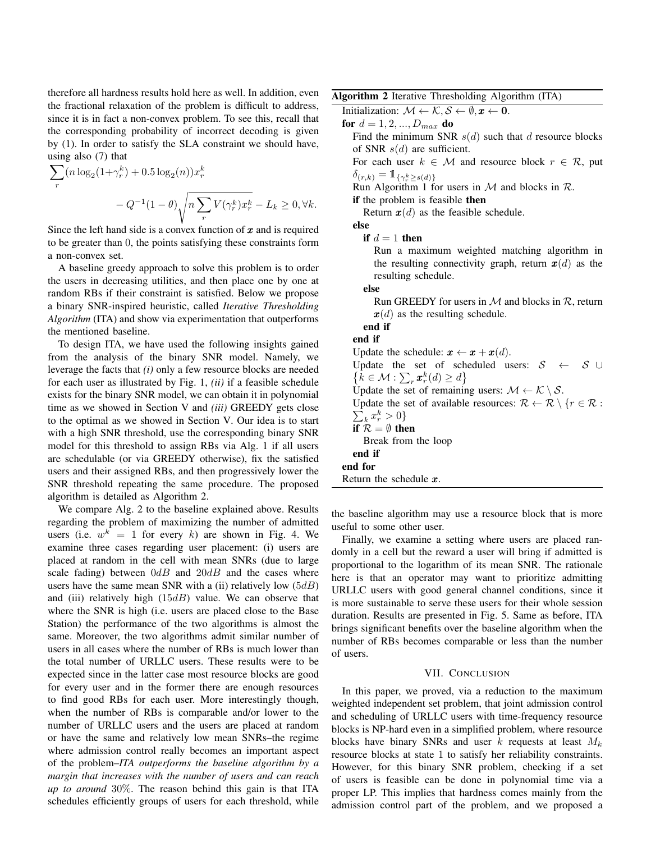therefore all hardness results hold here as well. In addition, even the fractional relaxation of the problem is difficult to address, since it is in fact a non-convex problem. To see this, recall that the corresponding probability of incorrect decoding is given by (1). In order to satisfy the SLA constraint we should have, using also (7) that

$$
\sum_{r} (n \log_2(1+\gamma_r^k) + 0.5 \log_2(n))x_r^k
$$
  

$$
-Q^{-1}(1-\theta) \sqrt{n \sum_{r} V(\gamma_r^k) x_r^k} - L_k \ge 0, \forall k.
$$

Since the left hand side is a convex function of  $x$  and is required to be greater than 0, the points satisfying these constraints form a non-convex set.

A baseline greedy approach to solve this problem is to order the users in decreasing utilities, and then place one by one at random RBs if their constraint is satisfied. Below we propose a binary SNR-inspired heuristic, called *Iterative Thresholding Algorithm* (ITA) and show via experimentation that outperforms the mentioned baseline.

To design ITA, we have used the following insights gained from the analysis of the binary SNR model. Namely, we leverage the facts that *(i)* only a few resource blocks are needed for each user as illustrated by Fig. 1, *(ii)* if a feasible schedule exists for the binary SNR model, we can obtain it in polynomial time as we showed in Section V and *(iii)* GREEDY gets close to the optimal as we showed in Section V. Our idea is to start with a high SNR threshold, use the corresponding binary SNR model for this threshold to assign RBs via Alg. 1 if all users are schedulable (or via GREEDY otherwise), fix the satisfied users and their assigned RBs, and then progressively lower the SNR threshold repeating the same procedure. The proposed algorithm is detailed as Algorithm 2.

We compare Alg. 2 to the baseline explained above. Results regarding the problem of maximizing the number of admitted users (i.e.  $w^k = 1$  for every k) are shown in Fig. 4. We examine three cases regarding user placement: (i) users are placed at random in the cell with mean SNRs (due to large scale fading) between  $0dB$  and  $20dB$  and the cases where users have the same mean SNR with a (ii) relatively low  $(5dB)$ and (iii) relatively high  $(15dB)$  value. We can observe that where the SNR is high (i.e. users are placed close to the Base Station) the performance of the two algorithms is almost the same. Moreover, the two algorithms admit similar number of users in all cases where the number of RBs is much lower than the total number of URLLC users. These results were to be expected since in the latter case most resource blocks are good for every user and in the former there are enough resources to find good RBs for each user. More interestingly though, when the number of RBs is comparable and/or lower to the number of URLLC users and the users are placed at random or have the same and relatively low mean SNRs–the regime where admission control really becomes an important aspect of the problem–*ITA outperforms the baseline algorithm by a margin that increases with the number of users and can reach up to around* 30%. The reason behind this gain is that ITA schedules efficiently groups of users for each threshold, while

Algorithm 2 Iterative Thresholding Algorithm (ITA)

Initialization:  $\mathcal{M} \leftarrow \mathcal{K}, \mathcal{S} \leftarrow \emptyset, \mathbf{x} \leftarrow \mathbf{0}.$ 

for  $d = 1, 2, ..., D_{max}$  do Find the minimum SNR  $s(d)$  such that d resource blocks

of SNR  $s(d)$  are sufficient.

For each user  $k \in \mathcal{M}$  and resource block  $r \in \mathcal{R}$ , put  $\delta_{(r,k)} = 1\!\!1_{\{\gamma_r^k \geq s(d)\}}$ 

Run Algorithm 1 for users in  $M$  and blocks in  $R$ .

if the problem is feasible then

Return  $x(d)$  as the feasible schedule.

else if  $d = 1$  then Run a maximum weighted matching algorithm in the resulting connectivity graph, return  $x(d)$  as the resulting schedule. else Run GREEDY for users in  $M$  and blocks in  $R$ , return  $x(d)$  as the resulting schedule. end if end if Update the schedule:  $\mathbf{x} \leftarrow \mathbf{x} + \mathbf{x}(d)$ . Update the set of scheduled users:  $S \leftarrow S \cup$  $\left\{k \in \mathcal{M}: \sum_r \boldsymbol{x}_r^k(d) \geq d\right\}$ Update the set of remaining users:  $M \leftarrow \mathcal{K} \setminus \mathcal{S}$ . Update the set of available resources:  $\mathcal{R} \leftarrow \mathcal{R} \setminus \{r \in \mathcal{R} :$  $\sum_k x_r^k > 0$ if  $\mathcal{R} = \emptyset$  then Break from the loop end if end for Return the schedule  $x$ .

the baseline algorithm may use a resource block that is more useful to some other user.

Finally, we examine a setting where users are placed randomly in a cell but the reward a user will bring if admitted is proportional to the logarithm of its mean SNR. The rationale here is that an operator may want to prioritize admitting URLLC users with good general channel conditions, since it is more sustainable to serve these users for their whole session duration. Results are presented in Fig. 5. Same as before, ITA brings significant benefits over the baseline algorithm when the number of RBs becomes comparable or less than the number of users.

## VII. CONCLUSION

In this paper, we proved, via a reduction to the maximum weighted independent set problem, that joint admission control and scheduling of URLLC users with time-frequency resource blocks is NP-hard even in a simplified problem, where resource blocks have binary SNRs and user  $k$  requests at least  $M_k$ resource blocks at state 1 to satisfy her reliability constraints. However, for this binary SNR problem, checking if a set of users is feasible can be done in polynomial time via a proper LP. This implies that hardness comes mainly from the admission control part of the problem, and we proposed a